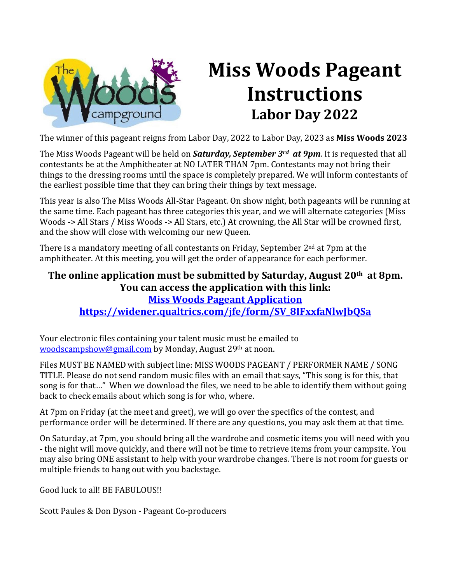

# **Miss Woods Pageant Instructions Labor Day 2022**

The winner of this pageant reigns from Labor Day, 2022 to Labor Day, 2023 as **Miss Woods 2023**

The Miss Woods Pageant will be held on *Saturday, September 3rd at 9pm*. It is requested that all contestants be at the Amphitheater at NO LATER THAN 7pm. Contestants may not bring their things to the dressing rooms until the space is completely prepared. We will inform contestants of the earliest possible time that they can bring their things by text message.

This year is also The Miss Woods All-Star Pageant. On show night, both pageants will be running at the same time. Each pageant has three categories this year, and we will alternate categories (Miss Woods -> All Stars / Miss Woods -> All Stars, etc.) At crowning, the All Star will be crowned first, and the show will close with welcoming our new Queen.

There is a mandatory meeting of all contestants on Friday, September  $2<sup>nd</sup>$  at 7pm at the amphitheater. At this meeting, you will get the order of appearance for each performer.

#### **The online application must be submitted by Saturday, August 20th at 8pm. You can access the application with this link: [Miss Woods Pageant Application](https://widener.qualtrics.com/jfe/form/SV_8IFxxfaNlwJbQSa) [https://widener.qualtrics.com/jfe/form/SV\\_8IFxxfaNlwJbQSa](https://widener.qualtrics.com/jfe/form/SV_8IFxxfaNlwJbQSa)**

Your electronic files containing your talent music must be emailed to [woodscampshow@gmail.com](mailto:davidtcrosson@gmail.com) by Monday, August 29th at noon.

Files MUST BE NAMED with subject line: MISS WOODS PAGEANT / PERFORMER NAME / SONG TITLE. Please do not send random music files with an email that says, "This song is for this, that song is for that…" When we download the files, we need to be able to identify them without going back to check emails about which song is for who, where.

At 7pm on Friday (at the meet and greet), we will go over the specifics of the contest, and performance order will be determined. If there are any questions, you may ask them at that time.

On Saturday, at 7pm, you should bring all the wardrobe and cosmetic items you will need with you - the night will move quickly, and there will not be time to retrieve items from your campsite. You may also bring ONE assistant to help with your wardrobe changes. There is not room for guests or multiple friends to hang out with you backstage.

Good luck to all! BE FABULOUS!!

Scott Paules & Don Dyson - Pageant Co-producers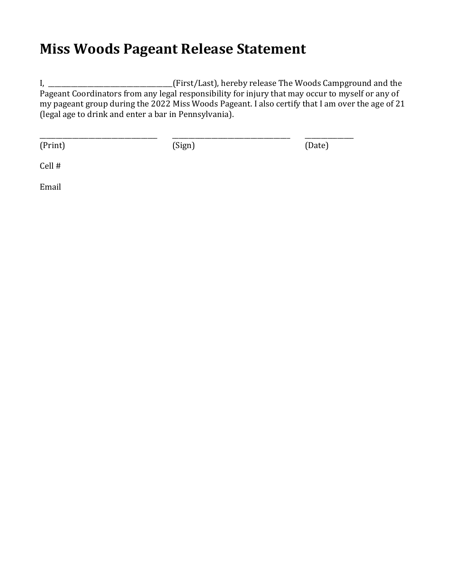### **Miss Woods Pageant Release Statement**

I, \_\_\_\_\_\_\_\_\_\_\_\_\_\_\_\_\_\_\_\_\_\_\_\_\_\_\_\_\_\_\_\_\_\_\_(First/Last), hereby release The Woods Campground and the Pageant Coordinators from any legal responsibility for injury that may occur to myself or any of my pageant group during the 2022 Miss Woods Pageant. I also certify that I am over the age of 21 (legal age to drink and enter a bar in Pennsylvania).

(Print) (Sign) (Date)

\_\_\_\_\_\_\_\_\_\_\_\_\_\_\_\_\_\_\_\_\_\_\_\_\_\_\_\_\_\_\_\_\_\_\_\_ \_\_\_\_\_\_\_\_\_\_\_\_\_\_\_\_\_\_\_\_\_\_\_\_\_\_\_\_\_\_\_\_\_\_\_\_ \_\_\_\_\_\_\_\_\_\_\_\_\_\_\_

Cell #

Email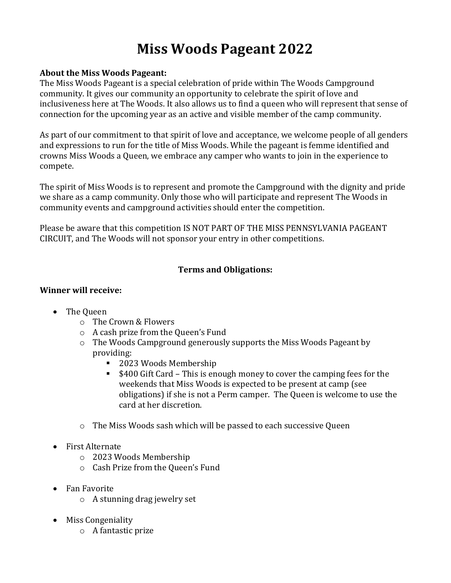## **Miss Woods Pageant 2022**

#### **About the Miss Woods Pageant:**

The Miss Woods Pageant is a special celebration of pride within The Woods Campground community. It gives our community an opportunity to celebrate the spirit of love and inclusiveness here at The Woods. It also allows us to find a queen who will represent that sense of connection for the upcoming year as an active and visible member of the camp community.

As part of our commitment to that spirit of love and acceptance, we welcome people of all genders and expressions to run for the title of Miss Woods. While the pageant is femme identified and crowns Miss Woods a Queen, we embrace any camper who wants to join in the experience to compete.

The spirit of Miss Woods is to represent and promote the Campground with the dignity and pride we share as a camp community. Only those who will participate and represent The Woods in community events and campground activities should enter the competition.

Please be aware that this competition IS NOT PART OF THE MISS PENNSYLVANIA PAGEANT CIRCUIT, and The Woods will not sponsor your entry in other competitions.

#### **Terms and Obligations:**

#### **Winner will receive:**

- The Queen
	- o The Crown & Flowers
	- o A cash prize from the Queen's Fund
	- o The Woods Campground generously supports the Miss Woods Pageant by providing:
		- 2023 Woods Membership
		- \$400 Gift Card This is enough money to cover the camping fees for the weekends that Miss Woods is expected to be present at camp (see obligations) if she is not a Perm camper. The Queen is welcome to use the card at her discretion.
	- o The Miss Woods sash which will be passed to each successive Queen
- First Alternate
	- o 2023 Woods Membership
	- o Cash Prize from the Queen's Fund
- Fan Favorite
	- o A stunning drag jewelry set
- Miss Congeniality
	- o A fantastic prize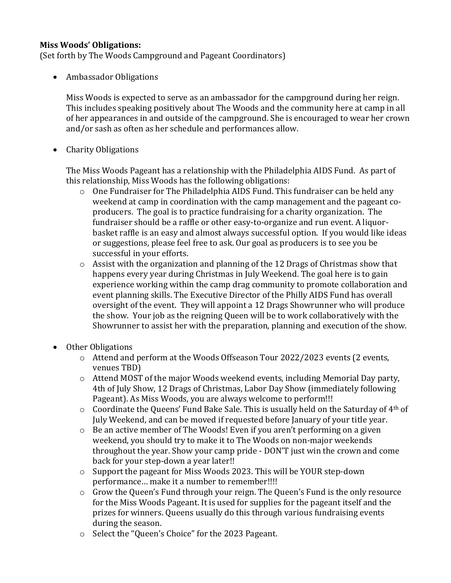#### **Miss Woods' Obligations:**

(Set forth by The Woods Campground and Pageant Coordinators)

• Ambassador Obligations

Miss Woods is expected to serve as an ambassador for the campground during her reign. This includes speaking positively about The Woods and the community here at camp in all of her appearances in and outside of the campground. She is encouraged to wear her crown and/or sash as often as her schedule and performances allow.

• Charity Obligations

The Miss Woods Pageant has a relationship with the Philadelphia AIDS Fund. As part of this relationship, Miss Woods has the following obligations:

- $\circ$  One Fundraiser for The Philadelphia AIDS Fund. This fundraiser can be held any weekend at camp in coordination with the camp management and the pageant coproducers. The goal is to practice fundraising for a charity organization. The fundraiser should be a raffle or other easy-to-organize and run event. A liquorbasket raffle is an easy and almost always successful option. If you would like ideas or suggestions, please feel free to ask. Our goal as producers is to see you be successful in your efforts.
- $\circ$  Assist with the organization and planning of the 12 Drags of Christmas show that happens every year during Christmas in July Weekend. The goal here is to gain experience working within the camp drag community to promote collaboration and event planning skills. The Executive Director of the Philly AIDS Fund has overall oversight of the event. They will appoint a 12 Drags Showrunner who will produce the show. Your job as the reigning Queen will be to work collaboratively with the Showrunner to assist her with the preparation, planning and execution of the show.
- Other Obligations
	- o Attend and perform at the Woods Offseason Tour 2022/2023 events (2 events, venues TBD)
	- o Attend MOST of the major Woods weekend events, including Memorial Day party, 4th of July Show, 12 Drags of Christmas, Labor Day Show (immediately following Pageant). As Miss Woods, you are always welcome to perform!!!
	- $\circ$  Coordinate the Queens' Fund Bake Sale. This is usually held on the Saturday of  $4<sup>th</sup>$  of July Weekend, and can be moved if requested before January of your title year.
	- o Be an active member of The Woods! Even if you aren't performing on a given weekend, you should try to make it to The Woods on non-major weekends throughout the year. Show your camp pride - DON'T just win the crown and come back for your step-down a year later!!
	- o Support the pageant for Miss Woods 2023. This will be YOUR step-down performance… make it a number to remember!!!!
	- o Grow the Queen's Fund through your reign. The Queen's Fund is the only resource for the Miss Woods Pageant. It is used for supplies for the pageant itself and the prizes for winners. Queens usually do this through various fundraising events during the season.
	- o Select the "Queen's Choice" for the 2023 Pageant.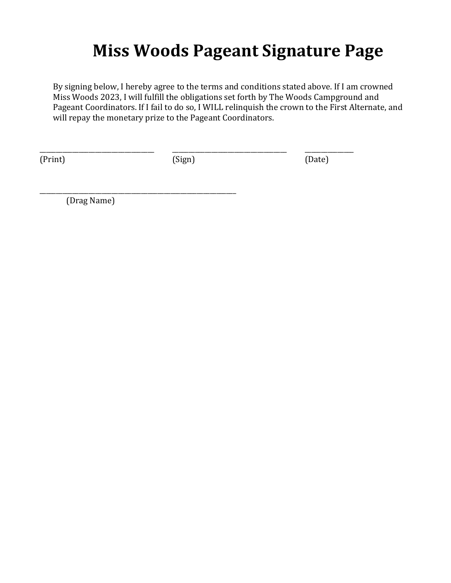## **Miss Woods Pageant Signature Page**

By signing below, I hereby agree to the terms and conditions stated above. If I am crowned Miss Woods 2023, I will fulfill the obligations set forth by The Woods Campground and Pageant Coordinators. If I fail to do so, I WILL relinquish the crown to the First Alternate, and will repay the monetary prize to the Pageant Coordinators.

(Print) (Sign) (Date)

\_\_\_\_\_\_\_\_\_\_\_\_\_\_\_\_\_\_\_\_\_\_\_\_\_\_\_\_\_\_\_\_\_\_\_ \_\_\_\_\_\_\_\_\_\_\_\_\_\_\_\_\_\_\_\_\_\_\_\_\_\_\_\_\_\_\_\_\_\_\_ \_\_\_\_\_\_\_\_\_\_\_\_\_\_\_

(Drag Name)

\_\_\_\_\_\_\_\_\_\_\_\_\_\_\_\_\_\_\_\_\_\_\_\_\_\_\_\_\_\_\_\_\_\_\_\_\_\_\_\_\_\_\_\_\_\_\_\_\_\_\_\_\_\_\_\_\_\_\_\_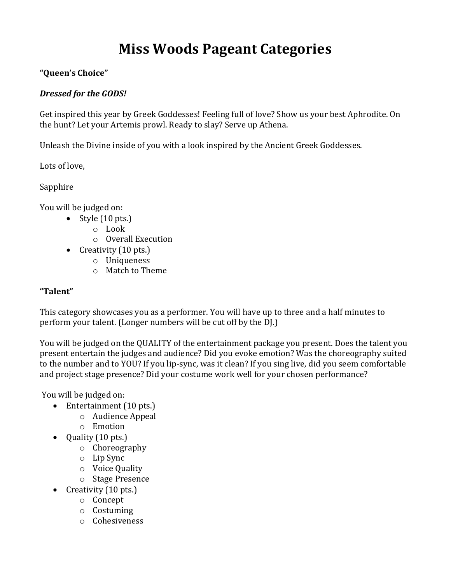### **Miss Woods Pageant Categories**

#### **"Queen's Choice"**

#### *Dressed for the GODS!*

Get inspired this year by Greek Goddesses! Feeling full of love? Show us your best Aphrodite. On the hunt? Let your Artemis prowl. Ready to slay? Serve up Athena.

Unleash the Divine inside of you with a look inspired by the Ancient Greek Goddesses.

Lots of love,

Sapphire

You will be judged on:

- Style (10 pts.)
	- o Look
	- o Overall Execution
- Creativity (10 pts.)
	- o Uniqueness
	- o Match to Theme

#### **"Talent"**

This category showcases you as a performer. You will have up to three and a half minutes to perform your talent. (Longer numbers will be cut off by the DJ.)

You will be judged on the QUALITY of the entertainment package you present. Does the talent you present entertain the judges and audience? Did you evoke emotion? Was the choreography suited to the number and to YOU? If you lip-sync, was it clean? If you sing live, did you seem comfortable and project stage presence? Did your costume work well for your chosen performance?

You will be judged on:

- Entertainment (10 pts.)
	- o Audience Appeal
	- o Emotion
- Quality (10 pts.)
	- o Choreography
	- o Lip Sync
	- o Voice Quality
	- o Stage Presence
- Creativity (10 pts.)
	- o Concept
	- o Costuming
	- o Cohesiveness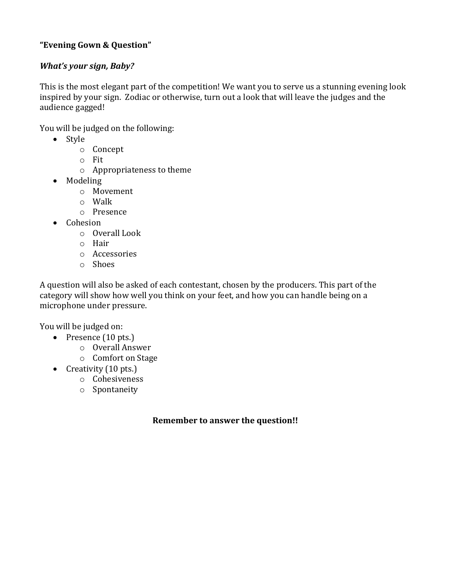#### **"Evening Gown & Question"**

#### *What's your sign, Baby?*

This is the most elegant part of the competition! We want you to serve us a stunning evening look inspired by your sign. Zodiac or otherwise, turn out a look that will leave the judges and the audience gagged!

You will be judged on the following:

- Style
	- o Concept
	- o Fit
	- o Appropriateness to theme
- Modeling
	- o Movement
	- o Walk
	- o Presence
- Cohesion
	- o Overall Look
	- o Hair
	- o Accessories
	- o Shoes

A question will also be asked of each contestant, chosen by the producers. This part of the category will show how well you think on your feet, and how you can handle being on a microphone under pressure.

You will be judged on:

- Presence (10 pts.)
	- o Overall Answer
	- o Comfort on Stage
- Creativity (10 pts.)
	- o Cohesiveness
	- o Spontaneity

#### **Remember to answer the question!!**